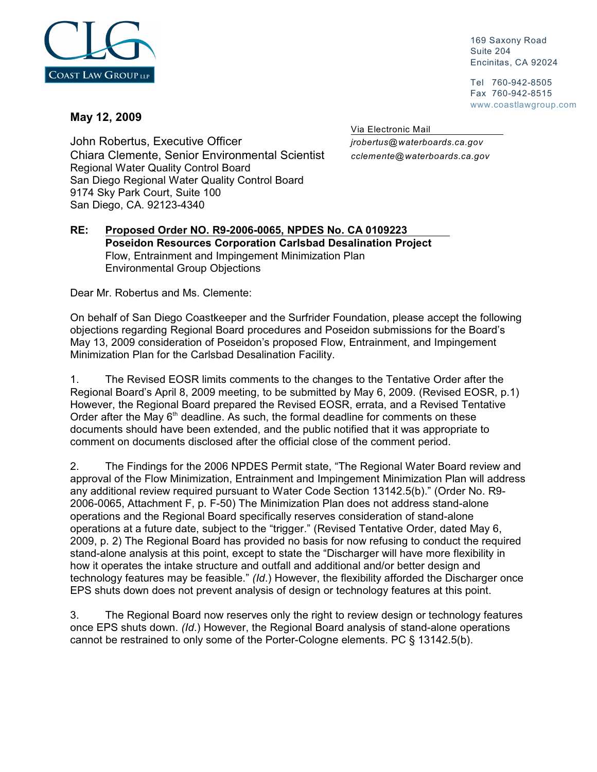

 169 Saxony Road Suite 204 Encinitas, CA 92024

 Tel 760-942-8505 Fax 760-942-8515 www.coastlawgroup.com

## **May 12, 2009**

Via Electronic Mail

John Robertus, Executive Officer *jrobertus@waterboards.ca.gov* Chiara Clemente, Senior Environmental Scientist *cclemente@waterboards.ca.gov* Regional Water Quality Control Board San Diego Regional Water Quality Control Board 9174 Sky Park Court, Suite 100 San Diego, CA. 92123-4340

## **RE: Proposed Order NO. R9-2006-0065, NPDES No. CA 0109223 Poseidon Resources Corporation Carlsbad Desalination Project** Flow, Entrainment and Impingement Minimization Plan Environmental Group Objections

Dear Mr. Robertus and Ms. Clemente:

On behalf of San Diego Coastkeeper and the Surfrider Foundation, please accept the following objections regarding Regional Board procedures and Poseidon submissions for the Board's May 13, 2009 consideration of Poseidon's proposed Flow, Entrainment, and Impingement Minimization Plan for the Carlsbad Desalination Facility.

1. The Revised EOSR limits comments to the changes to the Tentative Order after the Regional Board's April 8, 2009 meeting, to be submitted by May 6, 2009. (Revised EOSR, p.1) However, the Regional Board prepared the Revised EOSR, errata, and a Revised Tentative Order after the May  $6<sup>th</sup>$  deadline. As such, the formal deadline for comments on these documents should have been extended, and the public notified that it was appropriate to comment on documents disclosed after the official close of the comment period.

2. The Findings for the 2006 NPDES Permit state, "The Regional Water Board review and approval of the Flow Minimization, Entrainment and Impingement Minimization Plan will address any additional review required pursuant to Water Code Section 13142.5(b)." (Order No. R9- 2006-0065, Attachment F, p. F-50) The Minimization Plan does not address stand-alone operations and the Regional Board specifically reserves consideration of stand-alone operations at a future date, subject to the "trigger." (Revised Tentative Order, dated May 6, 2009, p. 2) The Regional Board has provided no basis for now refusing to conduct the required stand-alone analysis at this point, except to state the "Discharger will have more flexibility in how it operates the intake structure and outfall and additional and/or better design and technology features may be feasible." *(Id*.) However, the flexibility afforded the Discharger once EPS shuts down does not prevent analysis of design or technology features at this point.

3. The Regional Board now reserves only the right to review design or technology features once EPS shuts down. *(Id*.) However, the Regional Board analysis of stand-alone operations cannot be restrained to only some of the Porter-Cologne elements. PC § 13142.5(b).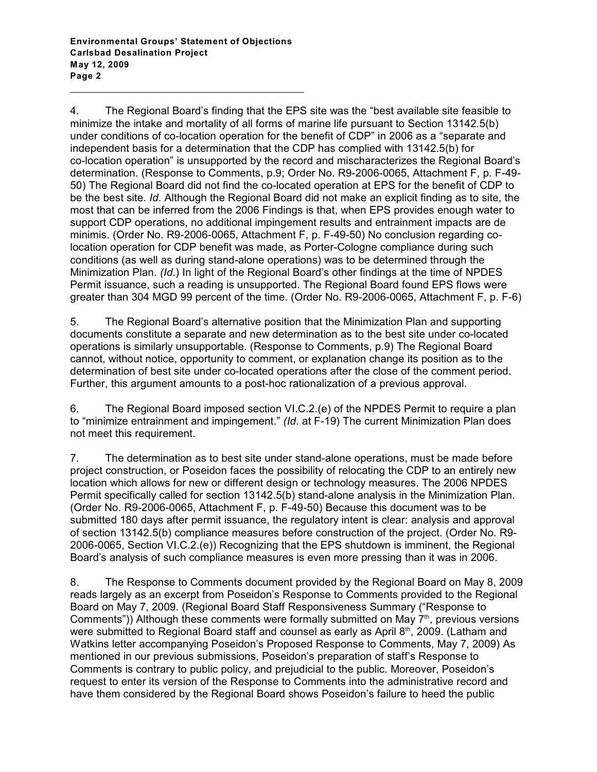4. The Regional Board's finding that the EPS site was the "best available site feasible to minimize the intake and mortality of all forms of marine life pursuant to Section 13142.5(b) under conditions of co-location operation for the benefit of CDP" in 2006 as a "separate and independent basis for a determination that the CDP has complied with 13142.5(b) for co-location operation" is unsupported by the record and mischaracterizes the Regional Board's determination. (Response to Comments, p.9; Order No. R9-2006-0065, Attachment F, p. F-49- 50) The Regional Board did not find the co-located operation at EPS for the benefit of CDP to be the best site. *Id*. Although the Regional Board did not make an explicit finding as to site, the most that can be inferred from the 2006 Findings is that, when EPS provides enough water to support CDP operations, no additional impingement results and entrainment impacts are de minimis. (Order No. R9-2006-0065, Attachment F, p. F-49-50) No conclusion regarding colocation operation for CDP benefit was made, as Porter-Cologne compliance during such conditions (as well as during stand-alone operations) was to be determined through the Minimization Plan. *(Id*.) In light of the Regional Board's other findings at the time of NPDES Permit issuance, such a reading is unsupported. The Regional Board found EPS flows were greater than 304 MGD 99 percent of the time. (Order No. R9-2006-0065, Attachment F, p. F-6)

5. The Regional Board's alternative position that the Minimization Plan and supporting documents constitute a separate and new determination as to the best site under co-located operations is similarly unsupportable. (Response to Comments, p.9) The Regional Board cannot, without notice, opportunity to comment, or explanation change its position as to the determination of best site under co-located operations after the close of the comment period. Further, this argument amounts to a post-hoc rationalization of a previous approval.

6. The Regional Board imposed section VI.C.2.(e) of the NPDES Permit to require a plan to "minimize entrainment and impingement." *(Id*. at F-19) The current Minimization Plan does not meet this requirement.

7. The determination as to best site under stand-alone operations, must be made before project construction, or Poseidon faces the possibility of relocating the CDP to an entirely new location which allows for new or different design or technology measures. The 2006 NPDES Permit specifically called for section 13142.5(b) stand-alone analysis in the Minimization Plan. (Order No. R9-2006-0065, Attachment F, p. F-49-50) Because this document was to be submitted 180 days after permit issuance, the regulatory intent is clear: analysis and approval of section 13142.5(b) compliance measures before construction of the project. (Order No. R9- 2006-0065, Section VI.C.2.(e)) Recognizing that the EPS shutdown is imminent, the Regional Board's analysis of such compliance measures is even more pressing than it was in 2006.

8. The Response to Comments document provided by the Regional Board on May 8, 2009 reads largely as an excerpt from Poseidon's Response to Comments provided to the Regional Board on May 7, 2009. (Regional Board Staff Responsiveness Summary ("Response to Comments")) Although these comments were formally submitted on May  $7<sup>th</sup>$ , previous versions were submitted to Regional Board staff and counsel as early as April  $8<sup>th</sup>$ , 2009. (Latham and Watkins letter accompanying Poseidon's Proposed Response to Comments, May 7, 2009) As mentioned in our previous submissions, Poseidon's preparation of staff's Response to Comments is contrary to public policy, and prejudicial to the public. Moreover, Poseidon's request to enter its version of the Response to Comments into the administrative record and have them considered by the Regional Board shows Poseidon's failure to heed the public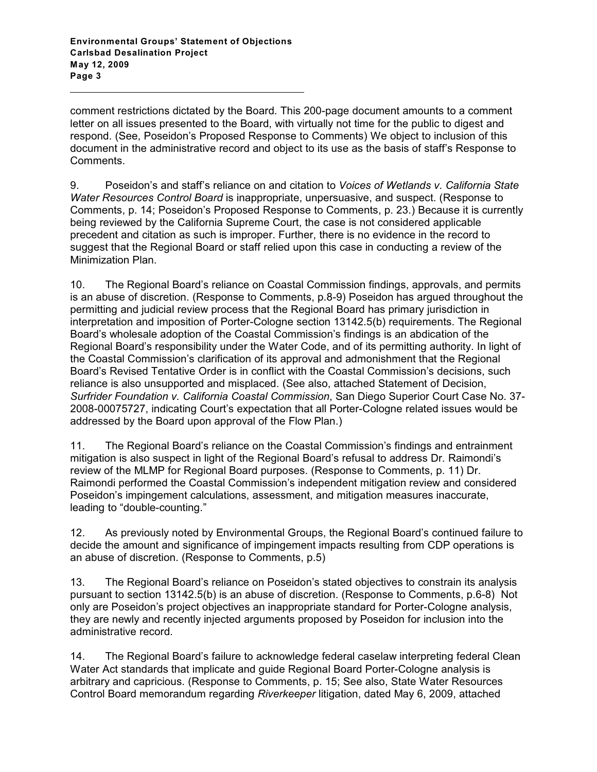comment restrictions dictated by the Board. This 200-page document amounts to a comment letter on all issues presented to the Board, with virtually not time for the public to digest and respond. (See, Poseidon's Proposed Response to Comments) We object to inclusion of this document in the administrative record and object to its use as the basis of staff's Response to Comments.

9. Poseidon's and staff's reliance on and citation to *Voices of Wetlands v. California State Water Resources Control Board* is inappropriate, unpersuasive, and suspect. (Response to Comments, p. 14; Poseidon's Proposed Response to Comments, p. 23.) Because it is currently being reviewed by the California Supreme Court, the case is not considered applicable precedent and citation as such is improper. Further, there is no evidence in the record to suggest that the Regional Board or staff relied upon this case in conducting a review of the Minimization Plan.

10. The Regional Board's reliance on Coastal Commission findings, approvals, and permits is an abuse of discretion. (Response to Comments, p.8-9) Poseidon has argued throughout the permitting and judicial review process that the Regional Board has primary jurisdiction in interpretation and imposition of Porter-Cologne section 13142.5(b) requirements. The Regional Board's wholesale adoption of the Coastal Commission's findings is an abdication of the Regional Board's responsibility under the Water Code, and of its permitting authority. In light of the Coastal Commission's clarification of its approval and admonishment that the Regional Board's Revised Tentative Order is in conflict with the Coastal Commission's decisions, such reliance is also unsupported and misplaced. (See also, attached Statement of Decision, *Surfrider Foundation v. California Coastal Commission*, San Diego Superior Court Case No. 37- 2008-00075727, indicating Court's expectation that all Porter-Cologne related issues would be addressed by the Board upon approval of the Flow Plan.)

11. The Regional Board's reliance on the Coastal Commission's findings and entrainment mitigation is also suspect in light of the Regional Board's refusal to address Dr. Raimondi's review of the MLMP for Regional Board purposes. (Response to Comments, p. 11) Dr. Raimondi performed the Coastal Commission's independent mitigation review and considered Poseidon's impingement calculations, assessment, and mitigation measures inaccurate, leading to "double-counting."

12. As previously noted by Environmental Groups, the Regional Board's continued failure to decide the amount and significance of impingement impacts resulting from CDP operations is an abuse of discretion. (Response to Comments, p.5)

13. The Regional Board's reliance on Poseidon's stated objectives to constrain its analysis pursuant to section 13142.5(b) is an abuse of discretion. (Response to Comments, p.6-8) Not only are Poseidon's project objectives an inappropriate standard for Porter-Cologne analysis, they are newly and recently injected arguments proposed by Poseidon for inclusion into the administrative record.

14. The Regional Board's failure to acknowledge federal caselaw interpreting federal Clean Water Act standards that implicate and guide Regional Board Porter-Cologne analysis is arbitrary and capricious. (Response to Comments, p. 15; See also, State Water Resources Control Board memorandum regarding *Riverkeeper* litigation, dated May 6, 2009, attached